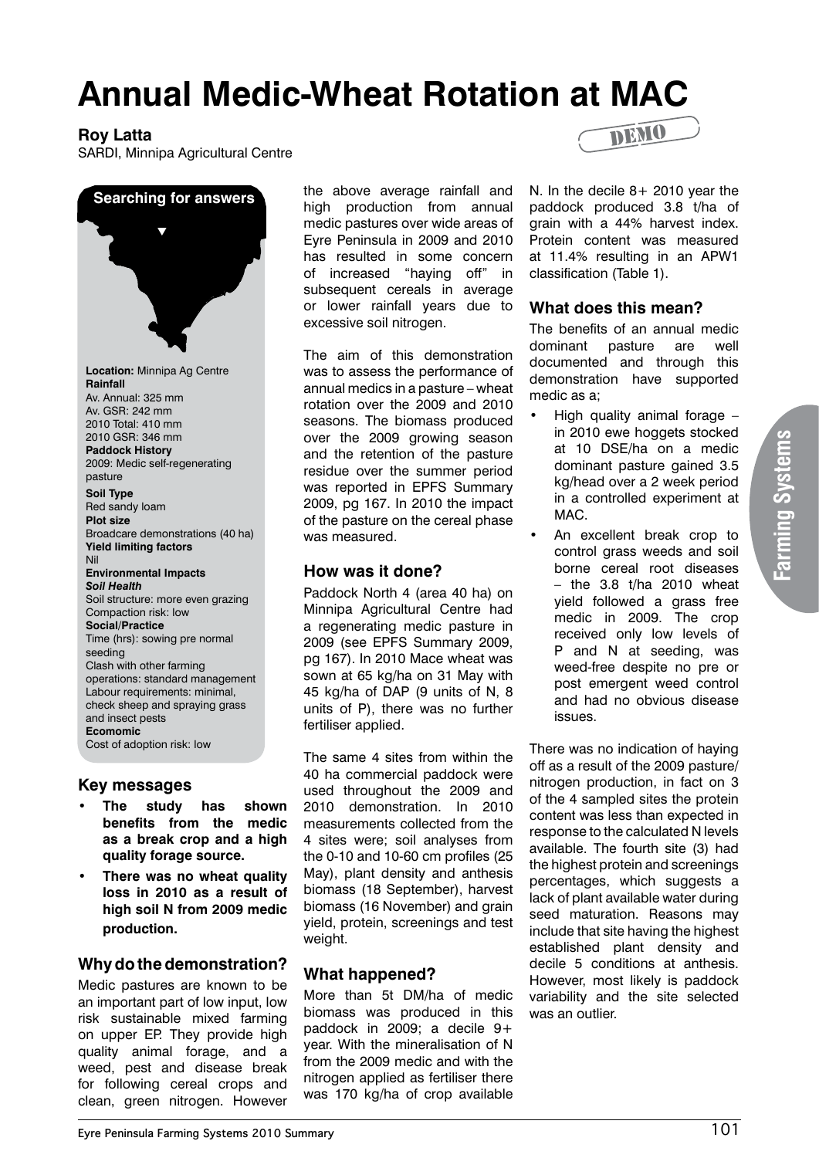# **Annual Medic-Wheat Rotation at MAC**

## **Roy Latta**

SARDI, Minnipa Agricultural Centre



### **Key messages**

- **• The study has shown benefits from the medic as a break crop and a high quality forage source.**
- **• There was no wheat quality loss in 2010 as a result of high soil N from 2009 medic production.**

# **Why do the demonstration?**

Medic pastures are known to be an important part of low input, low risk sustainable mixed farming on upper EP. They provide high quality animal forage, and a weed, pest and disease break for following cereal crops and clean, green nitrogen. However the above average rainfall and high production from annual medic pastures over wide areas of Eyre Peninsula in 2009 and 2010 has resulted in some concern of increased "haying off" in subsequent cereals in average or lower rainfall years due to excessive soil nitrogen.

The aim of this demonstration was to assess the performance of annual medics in a pasture – wheat rotation over the 2009 and 2010 seasons. The biomass produced over the 2009 growing season and the retention of the pasture residue over the summer period was reported in EPFS Summary 2009, pg 167. In 2010 the impact of the pasture on the cereal phase was measured.

## **How was it done?**

Paddock North 4 (area 40 ha) on Minnipa Agricultural Centre had a regenerating medic pasture in 2009 (see EPFS Summary 2009, pg 167). In 2010 Mace wheat was sown at 65 kg/ha on 31 May with 45 kg/ha of DAP (9 units of N, 8 units of P), there was no further fertiliser applied.

The same 4 sites from within the 40 ha commercial paddock were used throughout the 2009 and 2010 demonstration. In 2010 measurements collected from the 4 sites were; soil analyses from the 0-10 and 10-60 cm profiles (25 May), plant density and anthesis biomass (18 September), harvest biomass (16 November) and grain yield, protein, screenings and test weight.

# **What happened?**

More than 5t DM/ha of medic biomass was produced in this paddock in 2009; a decile 9+ year. With the mineralisation of N from the 2009 medic and with the nitrogen applied as fertiliser there was 170 kg/ha of crop available



N. In the decile 8+ 2010 year the paddock produced 3.8 t/ha of grain with a 44% harvest index. Protein content was measured at 11.4% resulting in an APW1 classification (Table 1).

# **What does this mean?**

The benefits of an annual medic dominant pasture are well documented and through this demonstration have supported medic as a;

- High quality animal forage in 2010 ewe hoggets stocked at 10 DSE/ha on a medic dominant pasture gained 3.5 kg/head over a 2 week period in a controlled experiment at MAC.
- An excellent break crop to control grass weeds and soil borne cereal root diseases  $-$  the 3.8 t/ha 2010 wheat yield followed a grass free medic in 2009. The crop received only low levels of P and N at seeding, was weed-free despite no pre or post emergent weed control and had no obvious disease issues.

There was no indication of haying off as a result of the 2009 pasture/ nitrogen production, in fact on 3 of the 4 sampled sites the protein content was less than expected in response to the calculated N levels available. The fourth site (3) had the highest protein and screenings percentages, which suggests a lack of plant available water during seed maturation. Reasons may include that site having the highest established plant density and decile 5 conditions at anthesis. However, most likely is paddock variability and the site selected was an outlier.